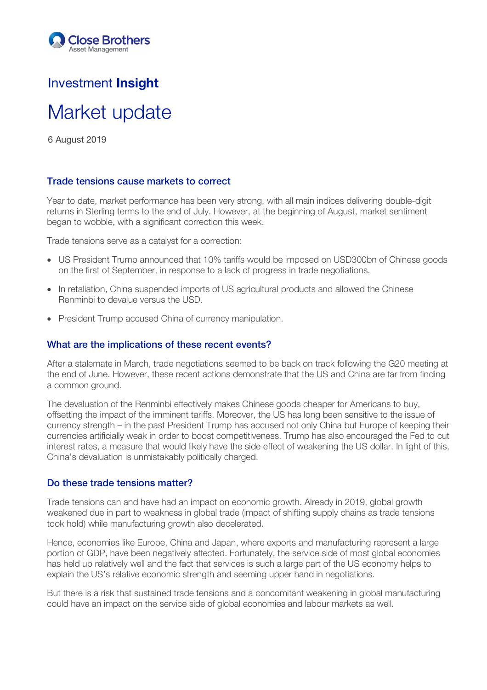

## Investment Insight

# Market update

6 August 2019

### Trade tensions cause markets to correct

Year to date, market performance has been very strong, with all main indices delivering double-digit returns in Sterling terms to the end of July. However, at the beginning of August, market sentiment began to wobble, with a significant correction this week.

Trade tensions serve as a catalyst for a correction:

- US President Trump announced that 10% tariffs would be imposed on USD300bn of Chinese goods on the first of September, in response to a lack of progress in trade negotiations.
- In retaliation, China suspended imports of US agricultural products and allowed the Chinese Renminbi to devalue versus the USD.
- President Trump accused China of currency manipulation.

#### What are the implications of these recent events?

After a stalemate in March, trade negotiations seemed to be back on track following the G20 meeting at the end of June. However, these recent actions demonstrate that the US and China are far from finding a common ground.

The devaluation of the Renminbi effectively makes Chinese goods cheaper for Americans to buy, offsetting the impact of the imminent tariffs. Moreover, the US has long been sensitive to the issue of currency strength – in the past President Trump has accused not only China but Europe of keeping their currencies artificially weak in order to boost competitiveness. Trump has also encouraged the Fed to cut interest rates, a measure that would likely have the side effect of weakening the US dollar. In light of this, China's devaluation is unmistakably politically charged.

#### Do these trade tensions matter?

Trade tensions can and have had an impact on economic growth. Already in 2019, global growth weakened due in part to weakness in global trade (impact of shifting supply chains as trade tensions took hold) while manufacturing growth also decelerated.

Hence, economies like Europe, China and Japan, where exports and manufacturing represent a large portion of GDP, have been negatively affected. Fortunately, the service side of most global economies has held up relatively well and the fact that services is such a large part of the US economy helps to explain the US's relative economic strength and seeming upper hand in negotiations.

But there is a risk that sustained trade tensions and a concomitant weakening in global manufacturing could have an impact on the service side of global economies and labour markets as well.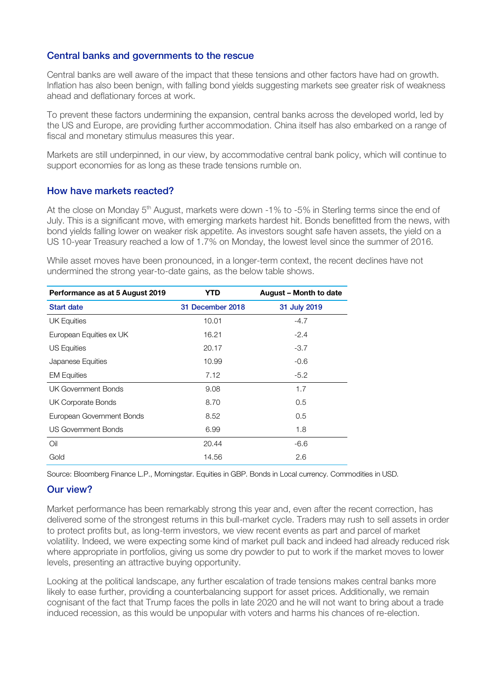#### Central banks and governments to the rescue

Central banks are well aware of the impact that these tensions and other factors have had on growth. Inflation has also been benign, with falling bond yields suggesting markets see greater risk of weakness ahead and deflationary forces at work.

To prevent these factors undermining the expansion, central banks across the developed world, led by the US and Europe, are providing further accommodation. China itself has also embarked on a range of fiscal and monetary stimulus measures this year.

Markets are still underpinned, in our view, by accommodative central bank policy, which will continue to support economies for as long as these trade tensions rumble on.

#### How have markets reacted?

At the close on Monday 5<sup>th</sup> August, markets were down -1% to -5% in Sterling terms since the end of July. This is a significant move, with emerging markets hardest hit. Bonds benefitted from the news, with bond yields falling lower on weaker risk appetite. As investors sought safe haven assets, the yield on a US 10-year Treasury reached a low of 1.7% on Monday, the lowest level since the summer of 2016.

While asset moves have been pronounced, in a longer-term context, the recent declines have not undermined the strong year-to-date gains, as the below table shows.

| Performance as at 5 August 2019 | YTD              | August - Month to date |
|---------------------------------|------------------|------------------------|
| <b>Start date</b>               | 31 December 2018 | 31 July 2019           |
| <b>UK Equities</b>              | 10.01            | $-4.7$                 |
| European Equities ex UK         | 16.21            | $-2.4$                 |
| US Equities                     | 20.17            | $-3.7$                 |
| Japanese Equities               | 10.99            | $-0.6$                 |
| <b>EM Equities</b>              | 7.12             | $-5.2$                 |
| UK Government Bonds             | 9.08             | 1.7                    |
| UK Corporate Bonds              | 8.70             | 0.5                    |
| European Government Bonds       | 8.52             | 0.5                    |
| US Government Bonds             | 6.99             | 1.8                    |
| Oil                             | 20.44            | $-6.6$                 |
| Gold                            | 14.56            | 2.6                    |

Source: Bloomberg Finance L.P., Morningstar. Equities in GBP. Bonds in Local currency. Commodities in USD.

#### Our view?

Market performance has been remarkably strong this year and, even after the recent correction, has delivered some of the strongest returns in this bull-market cycle. Traders may rush to sell assets in order to protect profits but, as long-term investors, we view recent events as part and parcel of market volatility. Indeed, we were expecting some kind of market pull back and indeed had already reduced risk where appropriate in portfolios, giving us some dry powder to put to work if the market moves to lower levels, presenting an attractive buying opportunity.

Looking at the political landscape, any further escalation of trade tensions makes central banks more likely to ease further, providing a counterbalancing support for asset prices. Additionally, we remain cognisant of the fact that Trump faces the polls in late 2020 and he will not want to bring about a trade induced recession, as this would be unpopular with voters and harms his chances of re-election.